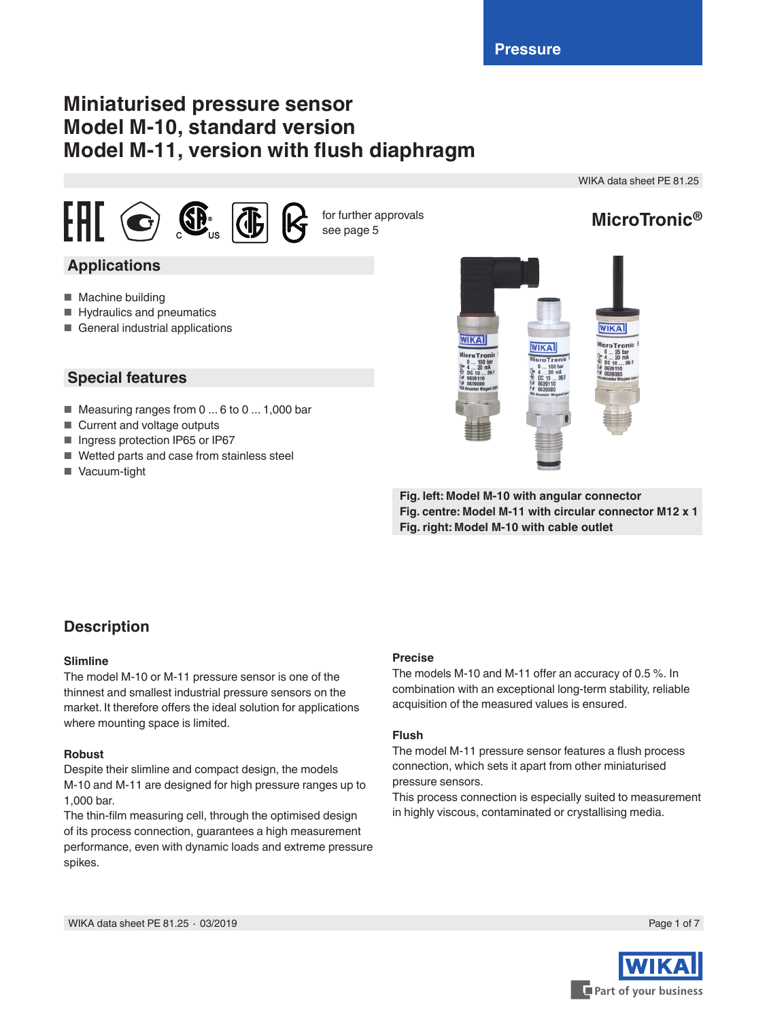# **Miniaturised pressure sensor Model M-10, standard version Model M-11, version with flush diaphragm**

WIKA data sheet PE 81.25



for further approvals see page 5

# **MicroTronic®**

## **Applications**

- Machine building
- Hydraulics and pneumatics
- General industrial applications

### **Special features**

- Measuring ranges from 0 ... 6 to 0 ... 1,000 bar
- Current and voltage outputs
- Ingress protection IP65 or IP67
- Wetted parts and case from stainless steel
- Vacuum-tight



**Fig. left: Model M-10 with angular connector Fig. centre: Model M-11 with circular connector M12 x 1 Fig. right: Model M-10 with cable outlet**

## **Description**

### **Slimline**

The model M-10 or M-11 pressure sensor is one of the thinnest and smallest industrial pressure sensors on the market. It therefore offers the ideal solution for applications where mounting space is limited.

### **Robust**

Despite their slimline and compact design, the models M-10 and M-11 are designed for high pressure ranges up to 1,000 bar.

The thin-film measuring cell, through the optimised design of its process connection, guarantees a high measurement performance, even with dynamic loads and extreme pressure spikes.

### **Precise**

The models M-10 and M-11 offer an accuracy of 0.5 %. In combination with an exceptional long-term stability, reliable acquisition of the measured values is ensured.

### **Flush**

The model M-11 pressure sensor features a flush process connection, which sets it apart from other miniaturised pressure sensors.

This process connection is especially suited to measurement in highly viscous, contaminated or crystallising media.

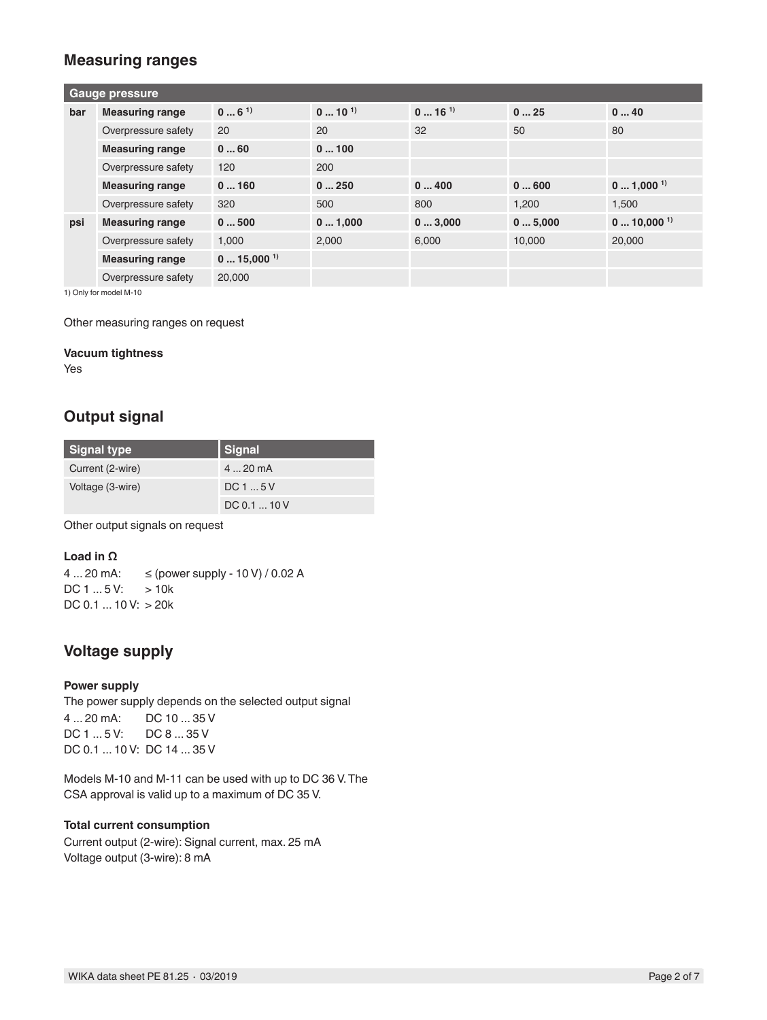### **Measuring ranges**

| <b>Gauge pressure</b> |                        |                         |                  |                     |        |                         |
|-----------------------|------------------------|-------------------------|------------------|---------------------|--------|-------------------------|
| bar                   | <b>Measuring range</b> | $06^{1}$                | $0 \dots 10^{1}$ | $016$ <sup>1)</sup> | 025    | 040                     |
|                       | Overpressure safety    | 20                      | 20               | 32                  | 50     | 80                      |
|                       | <b>Measuring range</b> | 060                     | 0100             |                     |        |                         |
|                       | Overpressure safety    | 120                     | 200              |                     |        |                         |
|                       | <b>Measuring range</b> | 0160                    | 0250             | 0400                | 0600   | $01,000$ <sup>1)</sup>  |
|                       | Overpressure safety    | 320                     | 500              | 800                 | 1,200  | 1,500                   |
| psi                   | <b>Measuring range</b> | 0500                    | 01,000           | 03,000              | 05,000 | $010,000$ <sup>1)</sup> |
|                       | Overpressure safety    | 1,000                   | 2,000            | 6.000               | 10,000 | 20,000                  |
|                       | <b>Measuring range</b> | $015,000$ <sup>1)</sup> |                  |                     |        |                         |
|                       | Overpressure safety    | 20,000                  |                  |                     |        |                         |

1) Only for model M-10

Other measuring ranges on request

#### **Vacuum tightness**

Yes

### **Output signal**

| <b>Signal type</b> | Signal       |
|--------------------|--------------|
| Current (2-wire)   | $420$ mA     |
| Voltage (3-wire)   | DC15V        |
|                    | DC 0.1  10 V |

Other output signals on request

### **Load in Ω**

4 ... 20 mA: ≤ (power supply - 10 V) / 0.02 A  $DC 1 ... 5 V: > 10k$ DC 0.1 ... 10 V: > 20k

## **Voltage supply**

### **Power supply**

The power supply depends on the selected output signal 4 ... 20 mA: DC 10 ... 35 V DC 1 ... 5 V: DC 8 ... 35 V DC 0.1 ... 10 V: DC 14 ... 35 V

Models M-10 and M-11 can be used with up to DC 36 V. The CSA approval is valid up to a maximum of DC 35 V.

### **Total current consumption**

Current output (2-wire): Signal current, max. 25 mA Voltage output (3-wire): 8 mA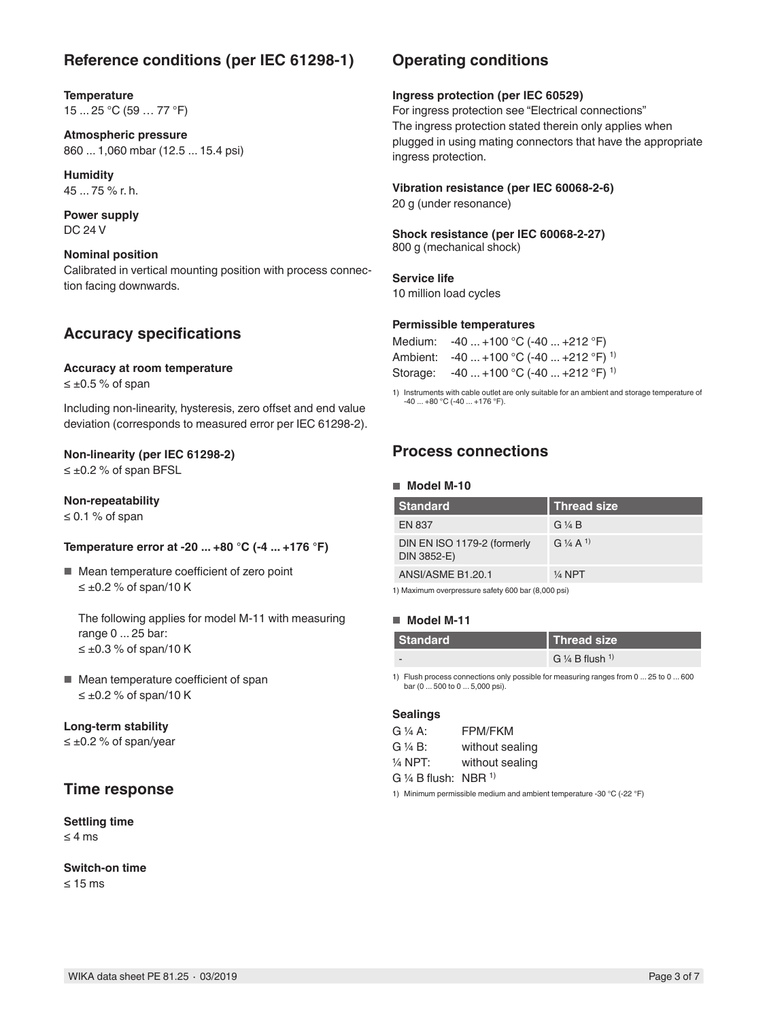### **Reference conditions (per IEC 61298-1)**

**Temperature** 15 ... 25 °C (59 … 77 °F)

**Atmospheric pressure** 860 ... 1,060 mbar (12.5 ... 15.4 psi)

**Humidity** 45 ... 75 % r. h.

**Power supply** DC 24 V

### **Nominal position**

Calibrated in vertical mounting position with process connection facing downwards.

### **Accuracy specifications**

#### **Accuracy at room temperature**

 $≤ ±0.5 %$  of span

Including non-linearity, hysteresis, zero offset and end value deviation (corresponds to measured error per IEC 61298-2).

### **Non-linearity (per IEC 61298-2)**

≤ ±0.2 % of span BFSL

### **Non-repeatability**

≤ 0.1 % of span

### **Temperature error at -20 ... +80 °C (-4 ... +176 °F)**

■ Mean temperature coefficient of zero point  $≤ ±0.2 %$  of span/10 K

The following applies for model M-11 with measuring range 0 ... 25 bar:  $≤$  ±0.3 % of span/10 K

■ Mean temperature coefficient of span  $≤ ±0.2 %$  of span/10 K

### **Long-term stability**

≤ ±0.2 % of span/year

### **Time response**

### **Settling time**

≤ 4 ms

**Switch-on time** ≤ 15 ms

### **Operating conditions**

#### **Ingress protection (per IEC 60529)**

For ingress protection see "Electrical connections" The ingress protection stated therein only applies when plugged in using mating connectors that have the appropriate ingress protection.

### **Vibration resistance (per IEC 60068-2-6)**

20 g (under resonance)

## **Shock resistance (per IEC 60068-2-27)**

800 g (mechanical shock)

### **Service life**

10 million load cycles

#### **Permissible temperatures**

| Medium: $-40+100$ °C (-40  +212 °F)                |
|----------------------------------------------------|
| Ambient: $-40+100$ °C (-40  +212 °F) <sup>1)</sup> |
| Storage: $-40+100$ °C (-40  +212 °F) <sup>1)</sup> |

1) Instruments with cable outlet are only suitable for an ambient and storage temperature of -40 ... +80 °C (-40 ... +176 °F).

### **Process connections**

#### ■ **Model M-10**

| <b>Standard</b>                            | <b>Thread size</b>  |
|--------------------------------------------|---------------------|
| <b>EN 837</b>                              | G ¼ B               |
| DIN EN ISO 1179-2 (formerly<br>DIN 3852-E) | $G\frac{1}{4}A^{1}$ |
| ANSI/ASME B1.20.1                          | $\frac{1}{4}$ NPT   |

1) Maximum overpressure safety 600 bar (8,000 psi)

### ■ **Model M-11**

| <b>Standard</b> | Thread size                           |
|-----------------|---------------------------------------|
|                 | G $\frac{1}{4}$ B flush $\frac{1}{1}$ |

1) Flush process connections only possible for measuring ranges from 0 ... 25 to 0 ... 600 bar (0 ... 500 to 0 ... 5,000 psi).

#### **Sealings**

| G 1/4 A:                           | <b>FPM/FKM</b>  |
|------------------------------------|-----------------|
| G ¼ B:                             | without sealing |
| 1/4 NPT:                           | without sealing |
| G 1/4 B flush: $NBR$ <sup>1)</sup> |                 |

1) Minimum permissible medium and ambient temperature -30 °C (-22 °F)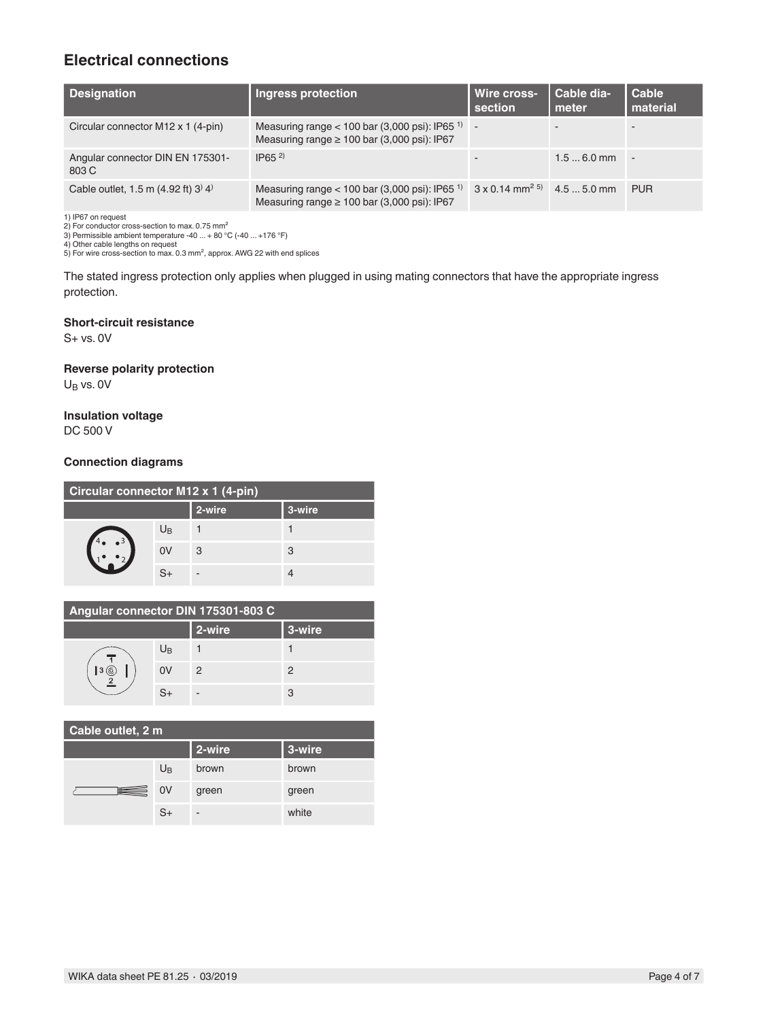## **Electrical connections**

| <b>Designation</b>                                                                                            | <b>Ingress protection</b>                                                                                       | Wire cross-<br>section                        | Cable dia-<br>meter | Cable<br><b>Imaterial</b> |
|---------------------------------------------------------------------------------------------------------------|-----------------------------------------------------------------------------------------------------------------|-----------------------------------------------|---------------------|---------------------------|
| Circular connector M12 x 1 (4-pin)                                                                            | Measuring range $<$ 100 bar (3,000 psi): IP65 <sup>1)</sup><br>Measuring range $\geq 100$ bar (3,000 psi): IP67 | $\overline{a}$                                |                     |                           |
| Angular connector DIN EN 175301-<br>803 C                                                                     | $IP65^{2}$                                                                                                      |                                               | $1.56.0$ mm         |                           |
| Cable outlet, 1.5 m $(4.92 \text{ ft})$ 3 <sup><math>\text{)}</math></sup> 4 <sup><math>\text{)}</math></sup> | Measuring range $<$ 100 bar (3,000 psi): IP65 <sup>1)</sup><br>Measuring range $\geq 100$ bar (3,000 psi): IP67 | $3 \times 0.14$ mm <sup>2 5</sup> 4.5  5.0 mm |                     | <b>PUR</b>                |

1) IP67 on request

2) For conductor cross-section to max. 0.75 mm² 3) Permissible ambient temperature -40 ... + 80 °C (-40 ... +176 °F)

4) Other cable lengths on request 5) For wire cross-section to max. 0.3 mm², approx. AWG 22 with end splices

The stated ingress protection only applies when plugged in using mating connectors that have the appropriate ingress protection.

### **Short-circuit resistance**

S+ vs. 0V

### **Reverse polarity protection**

 $U_B$  vs. 0V

### **Insulation voltage**

DC 500 V

### **Connection diagrams**

| Circular connector M12 x 1 (4-pin) |                |        |        |  |
|------------------------------------|----------------|--------|--------|--|
|                                    |                | 2-wire | 3-wire |  |
|                                    | $U_{\text{B}}$ |        |        |  |
|                                    | 0V             | 3      | 3      |  |
|                                    | $S_{+}$        |        |        |  |

| Angular connector DIN 175301-803 C |             |        |        |  |
|------------------------------------|-------------|--------|--------|--|
|                                    |             | 2-wire | 3-wire |  |
|                                    | $U_{\rm B}$ |        |        |  |
|                                    | 0V          | 2      | 2      |  |
|                                    | $S_{+}$     |        | 3      |  |

| Cable outlet, 2 m |                |        |        |  |
|-------------------|----------------|--------|--------|--|
|                   |                | 2-wire | 3-wire |  |
|                   | $U_{\text{B}}$ | brown  | brown  |  |
| ⊞                 | 0V             | green  | green  |  |
|                   | $S+$           | -      | white  |  |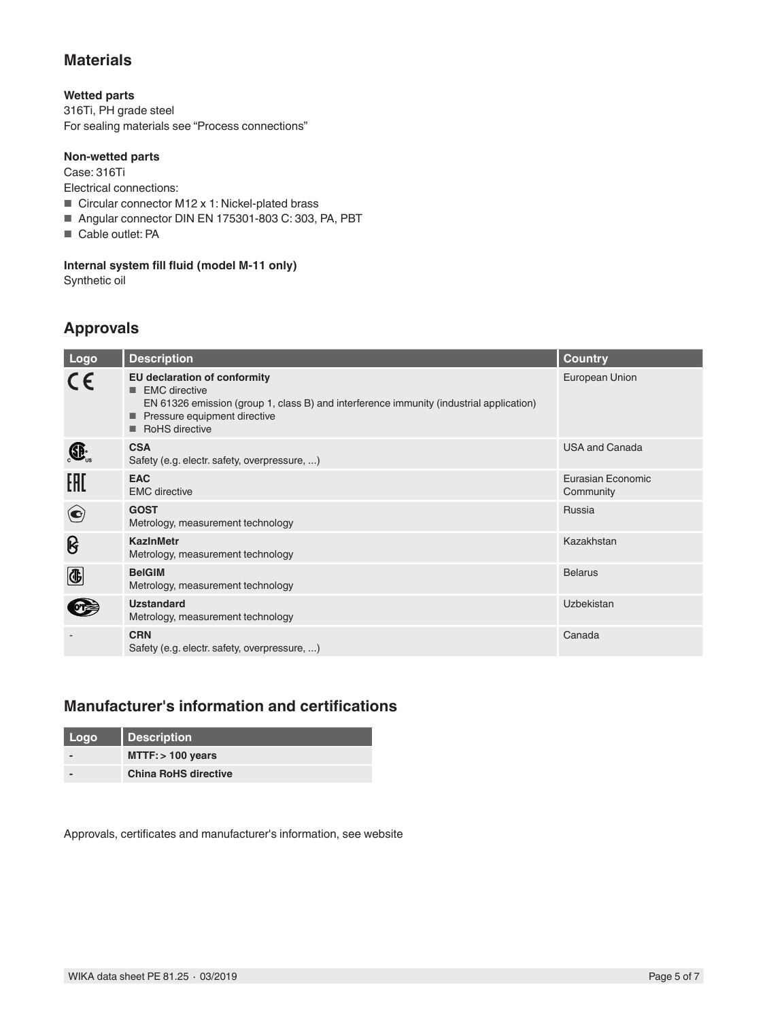### **Materials**

### **Wetted parts**

316Ti, PH grade steel For sealing materials see "Process connections"

### **Non-wetted parts**

Case: 316Ti

Electrical connections:

- Circular connector M12 x 1: Nickel-plated brass
- Angular connector DIN EN 175301-803 C: 303, PA, PBT
- Cable outlet: PA

### **Internal system fill fluid (model M-11 only)**

Synthetic oil

## **Approvals**

| Logo        | <b>Description</b>                                                                                                                                                                                | <b>Country</b>                 |
|-------------|---------------------------------------------------------------------------------------------------------------------------------------------------------------------------------------------------|--------------------------------|
| $C\epsilon$ | EU declaration of conformity<br><b>EMC</b> directive<br>EN 61326 emission (group 1, class B) and interference immunity (industrial application)<br>Pressure equipment directive<br>RoHS directive | European Union                 |
| $\bigoplus$ | <b>CSA</b><br>Safety (e.g. electr. safety, overpressure, )                                                                                                                                        | <b>USA and Canada</b>          |
| EAC         | <b>EAC</b><br><b>EMC</b> directive                                                                                                                                                                | Eurasian Economic<br>Community |
| $\bigodot$  | <b>GOST</b><br>Metrology, measurement technology                                                                                                                                                  | Russia                         |
| ၆           | <b>KazInMetr</b><br>Metrology, measurement technology                                                                                                                                             | Kazakhstan                     |
| $\bigcirc$  | <b>BelGIM</b><br>Metrology, measurement technology                                                                                                                                                | <b>Belarus</b>                 |
|             | <b>Uzstandard</b><br>Metrology, measurement technology                                                                                                                                            | <b>Uzbekistan</b>              |
|             | <b>CRN</b><br>Safety (e.g. electr. safety, overpressure, )                                                                                                                                        | Canada                         |

## **Manufacturer's information and certifications**

| Logo | <b>Description</b>          |
|------|-----------------------------|
|      | $MTTF:$ > 100 years         |
|      | <b>China RoHS directive</b> |

Approvals, certificates and manufacturer's information, see website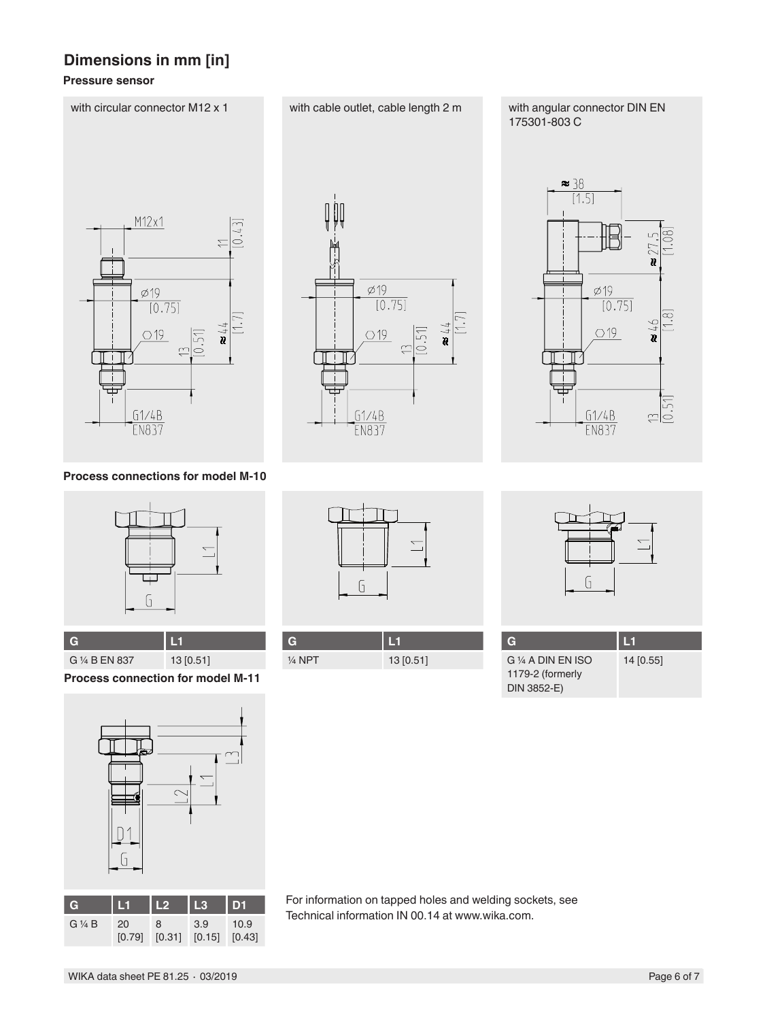## **Dimensions in mm [in]**

### **Pressure sensor**



**Process connections for model M-10**



**G L1** G 1/4 B EN 837 13 [0.51]

**Process connection for model M-11**



| G               | W            | TD.         | <b>TR</b>     | <b>ID1</b>     |
|-----------------|--------------|-------------|---------------|----------------|
| $G\frac{1}{4}B$ | 20<br>[0.79] | 8<br>[0.31] | 3.9<br>[0.15] | 10.9<br>[0.43] |
|                 |              |             |               |                |

For information on tapped holes and welding sockets, see Technical information IN 00.14 at www.wika.com.

G

 $\varnothing$  19

 $O<sub>19</sub>$ 

 $61/4B$ 

**EN837** 

 $[0.75]$ 

 $\lfloor . \rfloor$ 

 $\frac{1}{4}$ 

 $[0.51]$ 

 $\simeq$ 

| $\frac{1}{4}$ NPT | 13 [0.51] |
|-------------------|-----------|

 $\frac{38}{1.5}$  $\varphi$ 19  $\frac{1}{[0.75]}$ Ģ  $\bigcirc$  19  $\frac{1}{2}$  $61/4B$ **EN837** 

175301-803 C



| TG                 | И         |
|--------------------|-----------|
| G 1/4 A DIN EN ISO | 14 [0.55] |
| 1179-2 (formerly   |           |
| DIN 3852-E)        |           |

with circular connector M12 x 1 with cable outlet, cable length 2 m with angular connector DIN EN